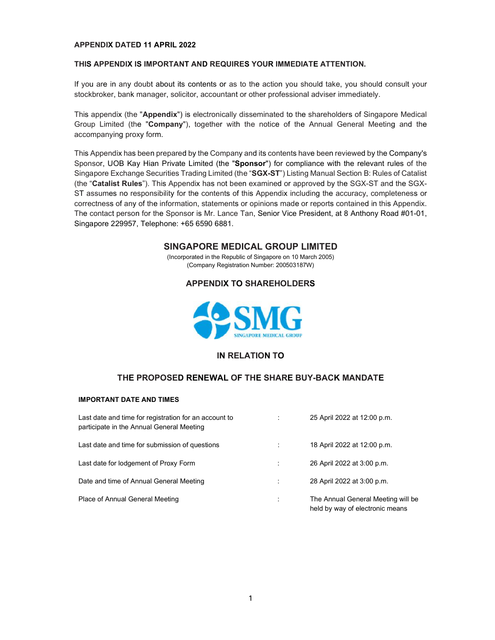#### APPENDIX DATED 11 APRIL 2022

#### THIS APPENDIX IS IMPORTANT AND REQUIRES YOUR IMMEDIATE ATTENTION.

If you are in any doubt about its contents or as to the action you should take, you should consult your stockbroker, bank manager, solicitor, accountant or other professional adviser immediately.<br>This appendix (the "Appendix") is electronically disseminated to the shareholders of Singapore Medical

Group Limited (the "Company"), together with the notice of the Annual General Meeting and the accompanying proxy form.

This Appendix has been prepared by the Company and its contents have been reviewed by the Company's Sponsor, UOB Kay Hian Private Limited (the "Sponsor") for compliance with the relevant rules of the Singapore Exchange Securities Trading Limited (the "SGX-ST") Listing Manual Section B: Rules of Catalist (the "Catalist Rules"). This Appendix has not been examined or approved by the SGX-ST and the SGX-ST assumes no responsibility for the contents of this Appendix including the accuracy, completeness or correctness of any of the information, statements or opinions made or reports contained in this Appendix. The contact person for the Sponsor is Mr. Lance Tan, Senior Vice President, at 8 Anthony Road #01-01, Singapore 229957, Telephone: +65 6590 6881.

# SINGAPORE MEDICAL GROUP LIMITED

(Incorporated in the Republic of Singapore on 10 March 2005) (Company Registration Number: 200503187W)

## APPENDIX TO SHAREHOLDERS



## IN RELATION TO

## THE PROPOSED RENEWAL OF THE SHARE BUY-BACK MANDATE

#### IMPORTANT DATE AND TIMES

| Last date and time for registration for an account to<br>participate in the Annual General Meeting | 25 April 2022 at 12:00 p.m.                                           |
|----------------------------------------------------------------------------------------------------|-----------------------------------------------------------------------|
| Last date and time for submission of questions                                                     | 18 April 2022 at 12:00 p.m.                                           |
| Last date for lodgement of Proxy Form                                                              | 26 April 2022 at 3:00 p.m.                                            |
| Date and time of Annual General Meeting                                                            | 28 April 2022 at 3:00 p.m.                                            |
| Place of Annual General Meeting                                                                    | The Annual General Meeting will be<br>held by way of electronic means |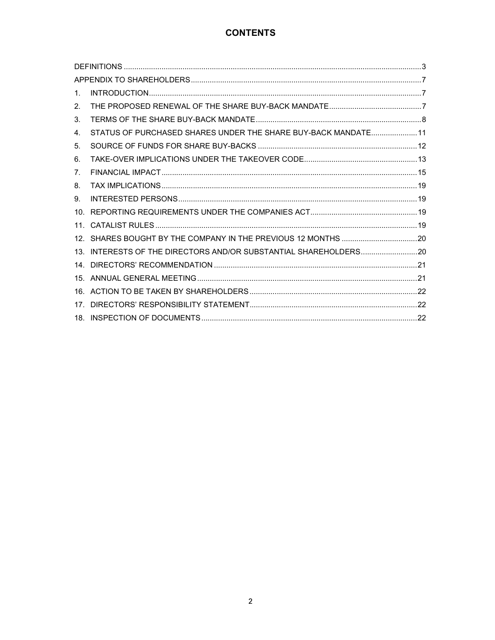# **CONTENTS**

| $1_{-}$ |                                                                |  |
|---------|----------------------------------------------------------------|--|
| 2.      |                                                                |  |
| 3.      |                                                                |  |
| 4.      | STATUS OF PURCHASED SHARES UNDER THE SHARE BUY-BACK MANDATE 11 |  |
| 5.      |                                                                |  |
| 6.      |                                                                |  |
| 7.      |                                                                |  |
| 8.      |                                                                |  |
| 9.      |                                                                |  |
| 10      |                                                                |  |
|         |                                                                |  |
|         |                                                                |  |
|         |                                                                |  |
| 14      |                                                                |  |
|         |                                                                |  |
|         |                                                                |  |
|         |                                                                |  |
|         |                                                                |  |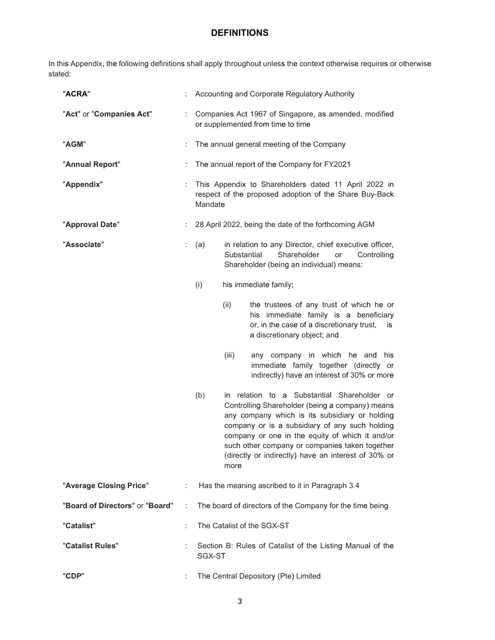In this Appendix, the following definitions shall apply throughout unless the context otherwise requires or otherwise stated:

| "ACRA"                          |    | Accounting and Corporate Regulatory Authority |                                                                                                                                                                                                                                                                                                                                                                        |  |  |  |  |  |
|---------------------------------|----|-----------------------------------------------|------------------------------------------------------------------------------------------------------------------------------------------------------------------------------------------------------------------------------------------------------------------------------------------------------------------------------------------------------------------------|--|--|--|--|--|
| "Act" or "Companies Act"        | t. |                                               | Companies Act 1967 of Singapore, as amended, modified<br>or supplemented from time to time                                                                                                                                                                                                                                                                             |  |  |  |  |  |
| "AGM"                           | ÷  |                                               | The annual general meeting of the Company                                                                                                                                                                                                                                                                                                                              |  |  |  |  |  |
| "Annual Report"                 | ÷  |                                               | The annual report of the Company for FY2021                                                                                                                                                                                                                                                                                                                            |  |  |  |  |  |
| "Appendix"                      | ÷  | Mandate                                       | This Appendix to Shareholders dated 11 April 2022 in<br>respect of the proposed adoption of the Share Buy-Back                                                                                                                                                                                                                                                         |  |  |  |  |  |
| "Approval Date"                 |    |                                               | 28 April 2022, being the date of the forthcoming AGM                                                                                                                                                                                                                                                                                                                   |  |  |  |  |  |
| "Associate"                     | t. | (a)                                           | in relation to any Director, chief executive officer,<br>Substantial<br>Shareholder<br>or<br>Controlling<br>Shareholder (being an individual) means:                                                                                                                                                                                                                   |  |  |  |  |  |
|                                 |    | (i)                                           | his immediate family;                                                                                                                                                                                                                                                                                                                                                  |  |  |  |  |  |
|                                 |    |                                               | (ii)<br>the trustees of any trust of which he or<br>his immediate family is a beneficiary<br>or, in the case of a discretionary trust,<br>is<br>a discretionary object; and                                                                                                                                                                                            |  |  |  |  |  |
|                                 |    |                                               | (iii)<br>any company in which he and his<br>immediate family together (directly or<br>indirectly) have an interest of 30% or more                                                                                                                                                                                                                                      |  |  |  |  |  |
|                                 |    | (b)                                           | in relation to a Substantial Shareholder or<br>Controlling Shareholder (being a company) means<br>any company which is its subsidiary or holding<br>company or is a subsidiary of any such holding<br>company or one in the equity of which it and/or<br>such other company or companies taken together<br>(directly or indirectly) have an interest of 30% or<br>more |  |  |  |  |  |
| "Average Closing Price"         | t. |                                               | Has the meaning ascribed to it in Paragraph 3.4                                                                                                                                                                                                                                                                                                                        |  |  |  |  |  |
| "Board of Directors" or "Board" | ÷  |                                               | The board of directors of the Company for the time being                                                                                                                                                                                                                                                                                                               |  |  |  |  |  |
| "Catalist"                      | ÷  |                                               | The Catalist of the SGX-ST                                                                                                                                                                                                                                                                                                                                             |  |  |  |  |  |
| "Catalist Rules"                |    | SGX-ST                                        | Section B: Rules of Catalist of the Listing Manual of the                                                                                                                                                                                                                                                                                                              |  |  |  |  |  |
| "CDP"                           |    |                                               | The Central Depository (Pte) Limited                                                                                                                                                                                                                                                                                                                                   |  |  |  |  |  |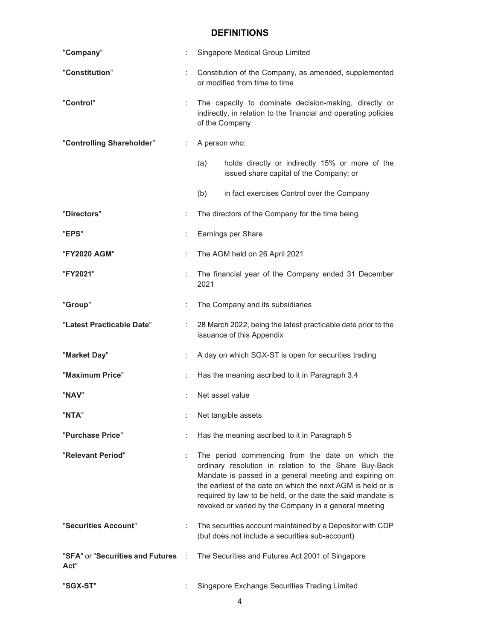| "Company"                                  | t  | Singapore Medical Group Limited                                                                                                                                                                                                                                                                                                                             |  |  |  |  |
|--------------------------------------------|----|-------------------------------------------------------------------------------------------------------------------------------------------------------------------------------------------------------------------------------------------------------------------------------------------------------------------------------------------------------------|--|--|--|--|
| "Constitution"                             |    | Constitution of the Company, as amended, supplemented<br>or modified from time to time                                                                                                                                                                                                                                                                      |  |  |  |  |
| "Control"                                  | ÷  | The capacity to dominate decision-making, directly or<br>indirectly, in relation to the financial and operating policies<br>of the Company                                                                                                                                                                                                                  |  |  |  |  |
| "Controlling Shareholder"                  |    | A person who:                                                                                                                                                                                                                                                                                                                                               |  |  |  |  |
|                                            |    | holds directly or indirectly 15% or more of the<br>(a)<br>issued share capital of the Company; or                                                                                                                                                                                                                                                           |  |  |  |  |
|                                            |    | (b)<br>in fact exercises Control over the Company                                                                                                                                                                                                                                                                                                           |  |  |  |  |
| "Directors"                                | ÷  | The directors of the Company for the time being                                                                                                                                                                                                                                                                                                             |  |  |  |  |
| "EPS"                                      | ÷  | Earnings per Share                                                                                                                                                                                                                                                                                                                                          |  |  |  |  |
| "FY2020 AGM"                               | ÷  | The AGM held on 26 April 2021                                                                                                                                                                                                                                                                                                                               |  |  |  |  |
| "FY2021"                                   |    | The financial year of the Company ended 31 December<br>2021                                                                                                                                                                                                                                                                                                 |  |  |  |  |
| "Group"                                    | ÷  | The Company and its subsidiaries                                                                                                                                                                                                                                                                                                                            |  |  |  |  |
| "Latest Practicable Date"                  |    | 28 March 2022, being the latest practicable date prior to the<br>issuance of this Appendix                                                                                                                                                                                                                                                                  |  |  |  |  |
| "Market Day"                               | ÷. | A day on which SGX-ST is open for securities trading                                                                                                                                                                                                                                                                                                        |  |  |  |  |
| "Maximum Price"                            | ÷  | Has the meaning ascribed to it in Paragraph 3.4                                                                                                                                                                                                                                                                                                             |  |  |  |  |
| "NAV"                                      |    | Net asset value                                                                                                                                                                                                                                                                                                                                             |  |  |  |  |
| "NTA"                                      |    | Net tangible assets                                                                                                                                                                                                                                                                                                                                         |  |  |  |  |
| "Purchase Price"                           |    | Has the meaning ascribed to it in Paragraph 5                                                                                                                                                                                                                                                                                                               |  |  |  |  |
| "Relevant Period"                          |    | The period commencing from the date on which the<br>ordinary resolution in relation to the Share Buy-Back<br>Mandate is passed in a general meeting and expiring on<br>the earliest of the date on which the next AGM is held or is<br>required by law to be held, or the date the said mandate is<br>revoked or varied by the Company in a general meeting |  |  |  |  |
| "Securities Account"                       | ÷  | The securities account maintained by a Depositor with CDP<br>(but does not include a securities sub-account)                                                                                                                                                                                                                                                |  |  |  |  |
| "SFA" or "Securities and Futures :<br>Act" |    | The Securities and Futures Act 2001 of Singapore                                                                                                                                                                                                                                                                                                            |  |  |  |  |
| "SGX-ST"                                   |    | Singapore Exchange Securities Trading Limited                                                                                                                                                                                                                                                                                                               |  |  |  |  |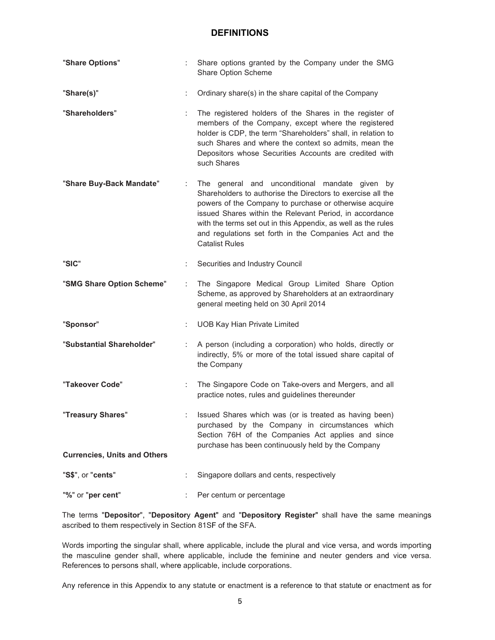| "Share Options"                     |    | Share options granted by the Company under the SMG<br>Share Option Scheme                                                                                                                                                                                                                                                                                                              |
|-------------------------------------|----|----------------------------------------------------------------------------------------------------------------------------------------------------------------------------------------------------------------------------------------------------------------------------------------------------------------------------------------------------------------------------------------|
| "Share(s)"                          | ÷  | Ordinary share(s) in the share capital of the Company                                                                                                                                                                                                                                                                                                                                  |
| "Shareholders"                      | ÷  | The registered holders of the Shares in the register of<br>members of the Company, except where the registered<br>holder is CDP, the term "Shareholders" shall, in relation to<br>such Shares and where the context so admits, mean the<br>Depositors whose Securities Accounts are credited with<br>such Shares                                                                       |
| "Share Buy-Back Mandate"            | ÷. | The general and unconditional mandate given by<br>Shareholders to authorise the Directors to exercise all the<br>powers of the Company to purchase or otherwise acquire<br>issued Shares within the Relevant Period, in accordance<br>with the terms set out in this Appendix, as well as the rules<br>and regulations set forth in the Companies Act and the<br><b>Catalist Rules</b> |
| "SIC"                               | ÷  | Securities and Industry Council                                                                                                                                                                                                                                                                                                                                                        |
| "SMG Share Option Scheme"           | ÷  | The Singapore Medical Group Limited Share Option<br>Scheme, as approved by Shareholders at an extraordinary<br>general meeting held on 30 April 2014                                                                                                                                                                                                                                   |
| "Sponsor"                           |    | <b>UOB Kay Hian Private Limited</b>                                                                                                                                                                                                                                                                                                                                                    |
| "Substantial Shareholder"           | ÷  | A person (including a corporation) who holds, directly or<br>indirectly, 5% or more of the total issued share capital of<br>the Company                                                                                                                                                                                                                                                |
| "Takeover Code"                     | ÷. | The Singapore Code on Take-overs and Mergers, and all<br>practice notes, rules and guidelines thereunder                                                                                                                                                                                                                                                                               |
| "Treasury Shares"                   | ÷  | Issued Shares which was (or is treated as having been)<br>purchased by the Company in circumstances which<br>Section 76H of the Companies Act applies and since<br>purchase has been continuously held by the Company                                                                                                                                                                  |
| <b>Currencies, Units and Others</b> |    |                                                                                                                                                                                                                                                                                                                                                                                        |
| "S\$", or "cents"                   |    | Singapore dollars and cents, respectively                                                                                                                                                                                                                                                                                                                                              |
| "%" or "per cent"                   |    | Per centum or percentage                                                                                                                                                                                                                                                                                                                                                               |

The terms "Depositor", "Depository Agent" and "Depository Register" shall have the same meanings ascribed to them respectively in Section 81SF of the SFA.

Words importing the singular shall, where applicable, include the plural and vice versa, and words importing the masculine gender shall, where applicable, include the feminine and neuter genders and vice versa. References to persons shall, where applicable, include corporations.

Any reference in this Appendix to any statute or enactment is a reference to that statute or enactment as for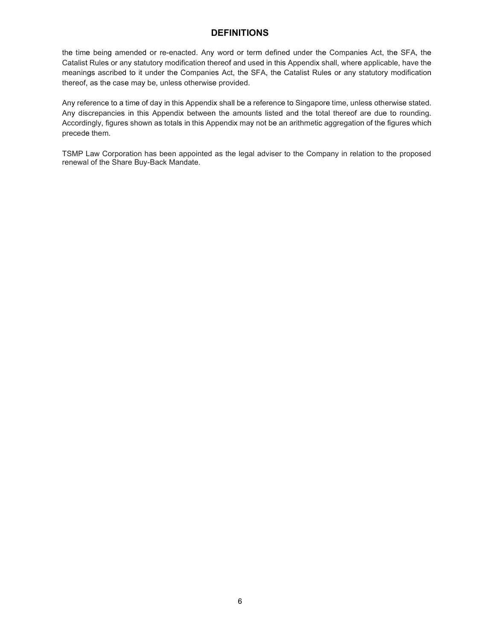the time being amended or re-enacted. Any word or term defined under the Companies Act, the SFA, the Catalist Rules or any statutory modification thereof and used in this Appendix shall, where applicable, have the meanings ascribed to it under the Companies Act, the SFA, the Catalist Rules or any statutory modification thereof, as the case may be, unless otherwise provided.

Any reference to a time of day in this Appendix shall be a reference to Singapore time, unless otherwise stated. Any discrepancies in this Appendix between the amounts listed and the total thereof are due to rounding. Accordingly, figures shown as totals in this Appendix may not be an arithmetic aggregation of the figures which precede them.

TSMP Law Corporation has been appointed as the legal adviser to the Company in relation to the proposed renewal of the Share Buy-Back Mandate.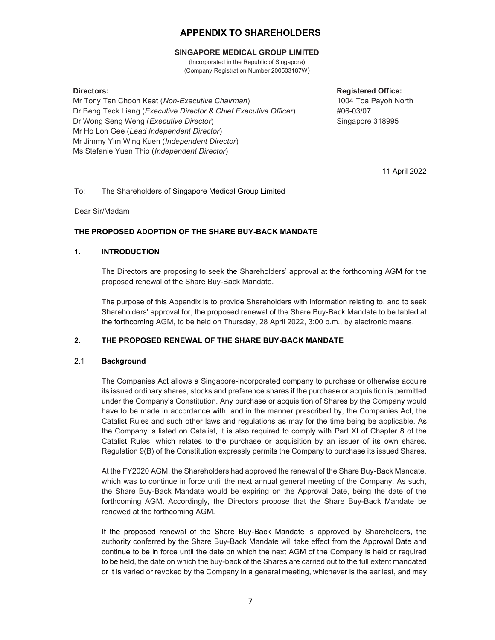#### SINGAPORE MEDICAL GROUP LIMITED

(Incorporated in the Republic of Singapore) (Company Registration Number 200503187W)

Mr Tony Tan Choon Keat (Non-Executive Chairman) Dr Beng Teck Liang (Executive Director & Chief Executive Officer) Dr Wong Seng Weng (Executive Director) Mr Ho Lon Gee (Lead Independent Director) Mr Jimmy Yim Wing Kuen (Independent Director) Ms Stefanie Yuen Thio (Independent Director)

Directors: **Registered Office:**  $\blacksquare$ 1004 Toa Payoh North #06-03/07 Singapore 318995

11 April 2022

#### To: The Shareholders of Singapore Medical Group Limited

Dear Sir/Madam

#### THE PROPOSED ADOPTION OF THE SHARE BUY-BACK MANDATE

#### 1. INTRODUCTION

The Directors are proposing to seek the Shareholders' approval at the forthcoming AGM for the proposed renewal of the Share Buy-Back Mandate.

The purpose of this Appendix is to provide Shareholders with information relating to, and to seek Shareholders' approval for, the proposed renewal of the Share Buy-Back Mandate to be tabled at the forthcoming AGM, to be held on Thursday, 28 April 2022, 3:00 p.m., by electronic means.

#### 2. THE PROPOSED RENEWAL OF THE SHARE BUY-BACK MANDATE

#### 2.1 Background

The Companies Act allows a Singapore-incorporated company to purchase or otherwise acquire its issued ordinary shares, stocks and preference shares if the purchase or acquisition is permitted under the Company's Constitution. Any purchase or acquisition of Shares by the Company would have to be made in accordance with, and in the manner prescribed by, the Companies Act, the Catalist Rules and such other laws and regulations as may for the time being be applicable. As the Company is listed on Catalist, it is also required to comply with Part XI of Chapter 8 of the Catalist Rules, which relates to the purchase or acquisition by an issuer of its own shares. Regulation 9(B) of the Constitution expressly permits the Company to purchase its issued Shares.

At the FY2020 AGM, the Shareholders had approved the renewal of the Share Buy-Back Mandate, which was to continue in force until the next annual general meeting of the Company. As such, the Share Buy-Back Mandate would be expiring on the Approval Date, being the date of the forthcoming AGM. Accordingly, the Directors propose that the Share Buy-Back Mandate be renewed at the forthcoming AGM.

If the proposed renewal of the Share Buy-Back Mandate is approved by Shareholders, the authority conferred by the Share Buy-Back Mandate will take effect from the Approval Date and continue to be in force until the date on which the next AGM of the Company is held or required to be held, the date on which the buy-back of the Shares are carried out to the full extent mandated or it is varied or revoked by the Company in a general meeting, whichever is the earliest, and may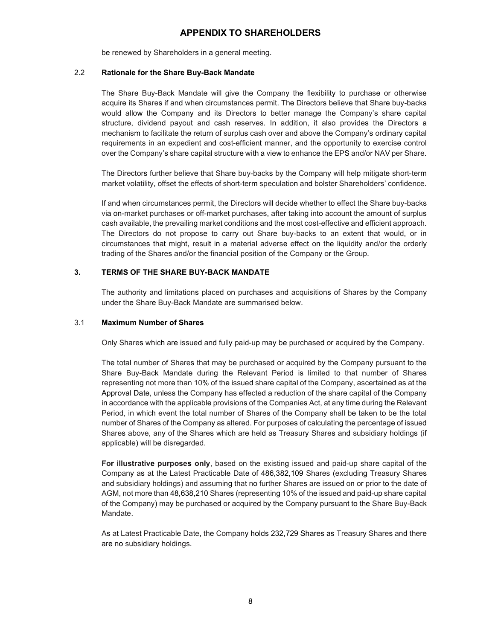be renewed by Shareholders in a general meeting.

#### 2.2 Rationale for the Share Buy-Back Mandate

The Share Buy-Back Mandate will give the Company the flexibility to purchase or otherwise acquire its Shares if and when circumstances permit. The Directors believe that Share buy-backs would allow the Company and its Directors to better manage the Company's share capital structure, dividend payout and cash reserves. In addition, it also provides the Directors a mechanism to facilitate the return of surplus cash over and above the Company's ordinary capital requirements in an expedient and cost-efficient manner, and the opportunity to exercise control over the Company's share capital structure with a view to enhance the EPS and/or NAV per Share.

The Directors further believe that Share buy-backs by the Company will help mitigate short-term market volatility, offset the effects of short-term speculation and bolster Shareholders' confidence.

If and when circumstances permit, the Directors will decide whether to effect the Share buy-backs via on-market purchases or off-market purchases, after taking into account the amount of surplus cash available, the prevailing market conditions and the most cost-effective and efficient approach. The Directors do not propose to carry out Share buy-backs to an extent that would, or in circumstances that might, result in a material adverse effect on the liquidity and/or the orderly trading of the Shares and/or the financial position of the Company or the Group.

## 3. TERMS OF THE SHARE BUY-BACK MANDATE

The authority and limitations placed on purchases and acquisitions of Shares by the Company under the Share Buy-Back Mandate are summarised below.

#### 3.1 Maximum Number of Shares

Only Shares which are issued and fully paid-up may be purchased or acquired by the Company.

The total number of Shares that may be purchased or acquired by the Company pursuant to the Share Buy-Back Mandate during the Relevant Period is limited to that number of Shares representing not more than 10% of the issued share capital of the Company, ascertained as at the Approval Date, unless the Company has effected a reduction of the share capital of the Company in accordance with the applicable provisions of the Companies Act, at any time during the Relevant Period, in which event the total number of Shares of the Company shall be taken to be the total number of Shares of the Company as altered. For purposes of calculating the percentage of issued Shares above, any of the Shares which are held as Treasury Shares and subsidiary holdings (if applicable) will be disregarded.

For illustrative purposes only, based on the existing issued and paid-up share capital of the Company as at the Latest Practicable Date of 486,382,109 Shares (excluding Treasury Shares and subsidiary holdings) and assuming that no further Shares are issued on or prior to the date of AGM, not more than 48,638,210 Shares (representing 10% of the issued and paid-up share capital of the Company) may be purchased or acquired by the Company pursuant to the Share Buy-Back Mandate.

As at Latest Practicable Date, the Company holds 232,729 Shares as Treasury Shares and there are no subsidiary holdings.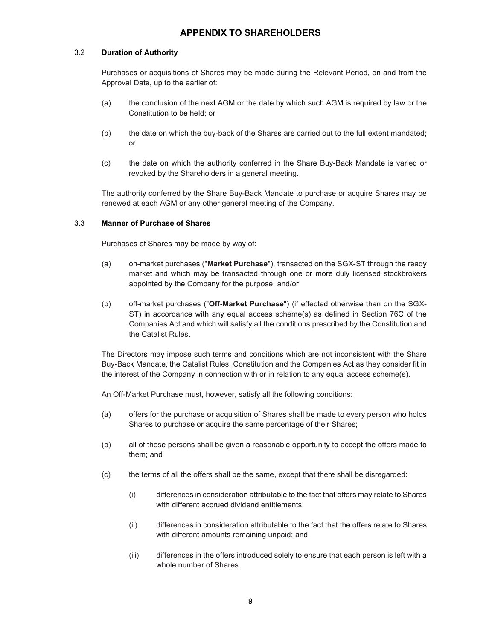#### 3.2 Duration of Authority

Purchases or acquisitions of Shares may be made during the Relevant Period, on and from the Approval Date, up to the earlier of:

- (a) the conclusion of the next AGM or the date by which such AGM is required by law or the Constitution to be held; or
- (b) the date on which the buy-back of the Shares are carried out to the full extent mandated; or
- (c) the date on which the authority conferred in the Share Buy-Back Mandate is varied or revoked by the Shareholders in a general meeting.

The authority conferred by the Share Buy-Back Mandate to purchase or acquire Shares may be renewed at each AGM or any other general meeting of the Company.

#### 3.3 Manner of Purchase of Shares

Purchases of Shares may be made by way of:

- (a) on-market purchases ("Market Purchase"), transacted on the SGX-ST through the ready market and which may be transacted through one or more duly licensed stockbrokers appointed by the Company for the purpose; and/or
- (b) off-market purchases ("Off-Market Purchase") (if effected otherwise than on the SGX-ST) in accordance with any equal access scheme(s) as defined in Section 76C of the Companies Act and which will satisfy all the conditions prescribed by the Constitution and the Catalist Rules.

The Directors may impose such terms and conditions which are not inconsistent with the Share Buy-Back Mandate, the Catalist Rules, Constitution and the Companies Act as they consider fit in the interest of the Company in connection with or in relation to any equal access scheme(s).

An Off-Market Purchase must, however, satisfy all the following conditions:

- (a) offers for the purchase or acquisition of Shares shall be made to every person who holds Shares to purchase or acquire the same percentage of their Shares;
- (b) all of those persons shall be given a reasonable opportunity to accept the offers made to them; and
- (c) the terms of all the offers shall be the same, except that there shall be disregarded:
	- (i) differences in consideration attributable to the fact that offers may relate to Shares with different accrued dividend entitlements;
	- (ii) differences in consideration attributable to the fact that the offers relate to Shares with different amounts remaining unpaid; and
	- (iii) differences in the offers introduced solely to ensure that each person is left with a whole number of Shares.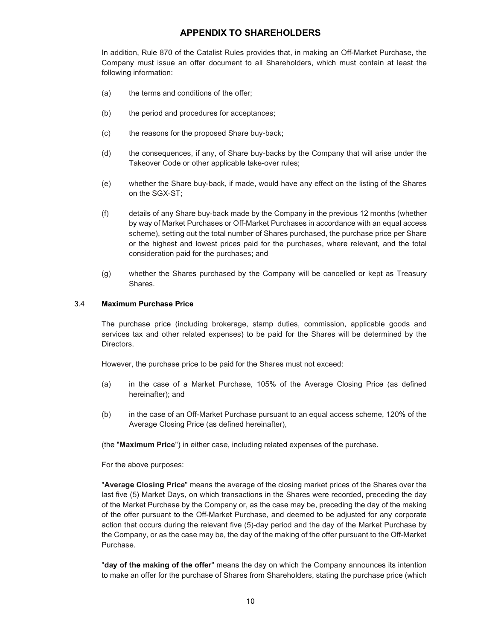In addition, Rule 870 of the Catalist Rules provides that, in making an Off-Market Purchase, the Company must issue an offer document to all Shareholders, which must contain at least the following information:

- (a) the terms and conditions of the offer;
- (b) the period and procedures for acceptances;
- (c) the reasons for the proposed Share buy-back;
- (d) the consequences, if any, of Share buy-backs by the Company that will arise under the Takeover Code or other applicable take-over rules;
- (e) whether the Share buy-back, if made, would have any effect on the listing of the Shares on the SGX-ST;
- (f) details of any Share buy-back made by the Company in the previous 12 months (whether by way of Market Purchases or Off-Market Purchases in accordance with an equal access scheme), setting out the total number of Shares purchased, the purchase price per Share or the highest and lowest prices paid for the purchases, where relevant, and the total consideration paid for the purchases; and
- (g) whether the Shares purchased by the Company will be cancelled or kept as Treasury Shares.

#### 3.4 Maximum Purchase Price

The purchase price (including brokerage, stamp duties, commission, applicable goods and services tax and other related expenses) to be paid for the Shares will be determined by the Directors.

However, the purchase price to be paid for the Shares must not exceed:

- (a) in the case of a Market Purchase, 105% of the Average Closing Price (as defined hereinafter); and
- (b) in the case of an Off-Market Purchase pursuant to an equal access scheme, 120% of the Average Closing Price (as defined hereinafter),

(the "Maximum Price") in either case, including related expenses of the purchase.

For the above purposes:

"Average Closing Price" means the average of the closing market prices of the Shares over the last five (5) Market Days, on which transactions in the Shares were recorded, preceding the day of the Market Purchase by the Company or, as the case may be, preceding the day of the making of the offer pursuant to the Off-Market Purchase, and deemed to be adjusted for any corporate action that occurs during the relevant five (5)-day period and the day of the Market Purchase by the Company, or as the case may be, the day of the making of the offer pursuant to the Off-Market Purchase.

"day of the making of the offer" means the day on which the Company announces its intention to make an offer for the purchase of Shares from Shareholders, stating the purchase price (which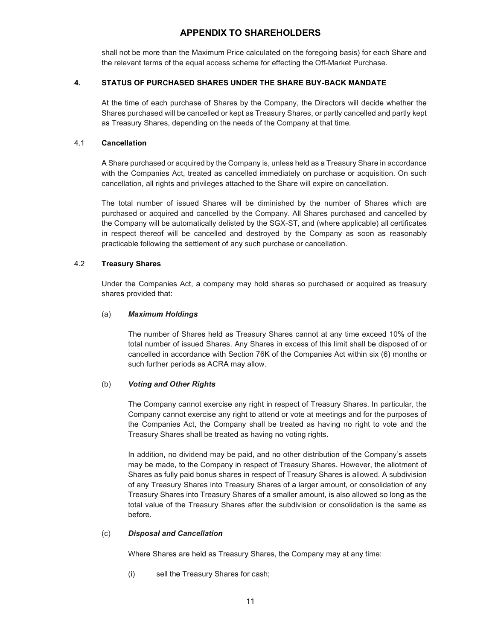shall not be more than the Maximum Price calculated on the foregoing basis) for each Share and the relevant terms of the equal access scheme for effecting the Off-Market Purchase.

#### 4. STATUS OF PURCHASED SHARES UNDER THE SHARE BUY-BACK MANDATE

At the time of each purchase of Shares by the Company, the Directors will decide whether the Shares purchased will be cancelled or kept as Treasury Shares, or partly cancelled and partly kept as Treasury Shares, depending on the needs of the Company at that time.

#### 4.1 Cancellation

A Share purchased or acquired by the Company is, unless held as a Treasury Share in accordance with the Companies Act, treated as cancelled immediately on purchase or acquisition. On such cancellation, all rights and privileges attached to the Share will expire on cancellation.

The total number of issued Shares will be diminished by the number of Shares which are purchased or acquired and cancelled by the Company. All Shares purchased and cancelled by the Company will be automatically delisted by the SGX-ST, and (where applicable) all certificates in respect thereof will be cancelled and destroyed by the Company as soon as reasonably practicable following the settlement of any such purchase or cancellation.

#### 4.2 Treasury Shares

Under the Companies Act, a company may hold shares so purchased or acquired as treasury shares provided that:

#### (a) Maximum Holdings

The number of Shares held as Treasury Shares cannot at any time exceed 10% of the total number of issued Shares. Any Shares in excess of this limit shall be disposed of or cancelled in accordance with Section 76K of the Companies Act within six (6) months or such further periods as ACRA may allow.

#### (b) Voting and Other Rights

The Company cannot exercise any right in respect of Treasury Shares. In particular, the Company cannot exercise any right to attend or vote at meetings and for the purposes of the Companies Act, the Company shall be treated as having no right to vote and the Treasury Shares shall be treated as having no voting rights.

In addition, no dividend may be paid, and no other distribution of the Company's assets may be made, to the Company in respect of Treasury Shares. However, the allotment of Shares as fully paid bonus shares in respect of Treasury Shares is allowed. A subdivision of any Treasury Shares into Treasury Shares of a larger amount, or consolidation of any Treasury Shares into Treasury Shares of a smaller amount, is also allowed so long as the total value of the Treasury Shares after the subdivision or consolidation is the same as before.

#### (c) Disposal and Cancellation

Where Shares are held as Treasury Shares, the Company may at any time:

(i) sell the Treasury Shares for cash;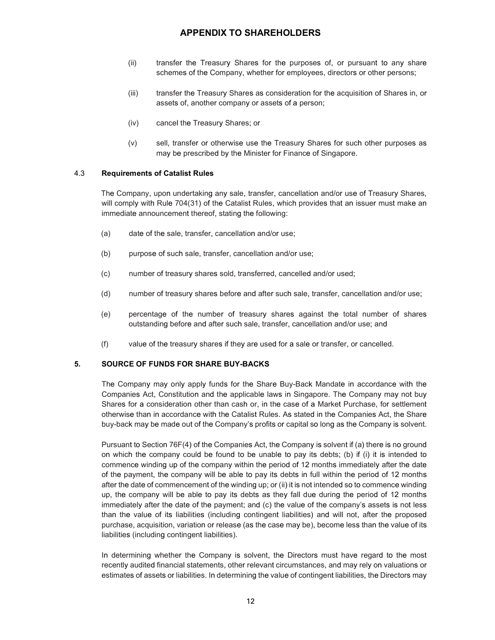- (ii) transfer the Treasury Shares for the purposes of, or pursuant to any share schemes of the Company, whether for employees, directors or other persons;
- (iii) transfer the Treasury Shares as consideration for the acquisition of Shares in, or assets of, another company or assets of a person;
- (iv) cancel the Treasury Shares; or
- (v) sell, transfer or otherwise use the Treasury Shares for such other purposes as may be prescribed by the Minister for Finance of Singapore.

#### 4.3 Requirements of Catalist Rules

The Company, upon undertaking any sale, transfer, cancellation and/or use of Treasury Shares, will comply with Rule 704(31) of the Catalist Rules, which provides that an issuer must make an immediate announcement thereof, stating the following:

- (a) date of the sale, transfer, cancellation and/or use;
- (b) purpose of such sale, transfer, cancellation and/or use;
- (c) number of treasury shares sold, transferred, cancelled and/or used;
- (d) number of treasury shares before and after such sale, transfer, cancellation and/or use;
- (e) percentage of the number of treasury shares against the total number of shares outstanding before and after such sale, transfer, cancellation and/or use; and
- (f) value of the treasury shares if they are used for a sale or transfer, or cancelled.

#### 5. SOURCE OF FUNDS FOR SHARE BUY-BACKS

The Company may only apply funds for the Share Buy-Back Mandate in accordance with the Companies Act, Constitution and the applicable laws in Singapore. The Company may not buy Shares for a consideration other than cash or, in the case of a Market Purchase, for settlement otherwise than in accordance with the Catalist Rules. As stated in the Companies Act, the Share buy-back may be made out of the Company's profits or capital so long as the Company is solvent.

Pursuant to Section 76F(4) of the Companies Act, the Company is solvent if (a) there is no ground on which the company could be found to be unable to pay its debts; (b) if (i) it is intended to commence winding up of the company within the period of 12 months immediately after the date of the payment, the company will be able to pay its debts in full within the period of 12 months after the date of commencement of the winding up; or (ii) it is not intended so to commence winding up, the company will be able to pay its debts as they fall due during the period of 12 months immediately after the date of the payment; and (c) the value of the company's assets is not less than the value of its liabilities (including contingent liabilities) and will not, after the proposed purchase, acquisition, variation or release (as the case may be), become less than the value of its liabilities (including contingent liabilities).

In determining whether the Company is solvent, the Directors must have regard to the most recently audited financial statements, other relevant circumstances, and may rely on valuations or estimates of assets or liabilities. In determining the value of contingent liabilities, the Directors may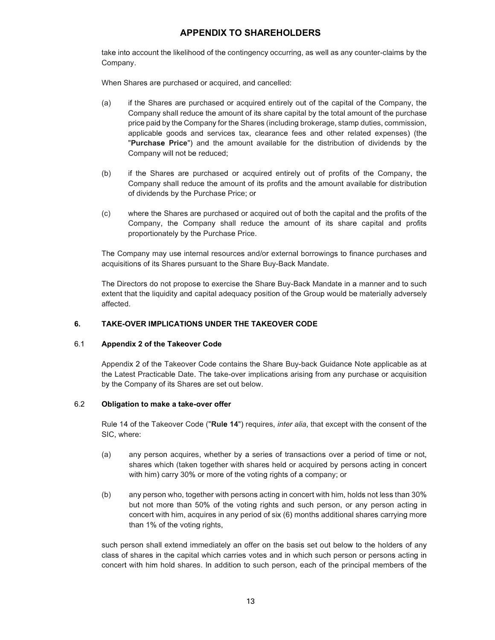take into account the likelihood of the contingency occurring, as well as any counter-claims by the Company.

When Shares are purchased or acquired, and cancelled:

- (a) if the Shares are purchased or acquired entirely out of the capital of the Company, the Company shall reduce the amount of its share capital by the total amount of the purchase price paid by the Company for the Shares (including brokerage, stamp duties, commission, applicable goods and services tax, clearance fees and other related expenses) (the "Purchase Price") and the amount available for the distribution of dividends by the Company will not be reduced;
- (b) if the Shares are purchased or acquired entirely out of profits of the Company, the Company shall reduce the amount of its profits and the amount available for distribution of dividends by the Purchase Price; or
- (c) where the Shares are purchased or acquired out of both the capital and the profits of the Company, the Company shall reduce the amount of its share capital and profits proportionately by the Purchase Price.

The Company may use internal resources and/or external borrowings to finance purchases and acquisitions of its Shares pursuant to the Share Buy-Back Mandate.

The Directors do not propose to exercise the Share Buy-Back Mandate in a manner and to such extent that the liquidity and capital adequacy position of the Group would be materially adversely affected.

#### 6. TAKE-OVER IMPLICATIONS UNDER THE TAKEOVER CODE

#### 6.1 Appendix 2 of the Takeover Code

Appendix 2 of the Takeover Code contains the Share Buy-back Guidance Note applicable as at the Latest Practicable Date. The take-over implications arising from any purchase or acquisition by the Company of its Shares are set out below.

## 6.2 Obligation to make a take-over offer

Rule 14 of the Takeover Code ("Rule 14") requires, *inter alia*, that except with the consent of the SIC, where:

- (a) any person acquires, whether by a series of transactions over a period of time or not, shares which (taken together with shares held or acquired by persons acting in concert with him) carry 30% or more of the voting rights of a company; or
- (b) any person who, together with persons acting in concert with him, holds not less than 30% but not more than 50% of the voting rights and such person, or any person acting in concert with him, acquires in any period of six (6) months additional shares carrying more than 1% of the voting rights,

such person shall extend immediately an offer on the basis set out below to the holders of any class of shares in the capital which carries votes and in which such person or persons acting in concert with him hold shares. In addition to such person, each of the principal members of the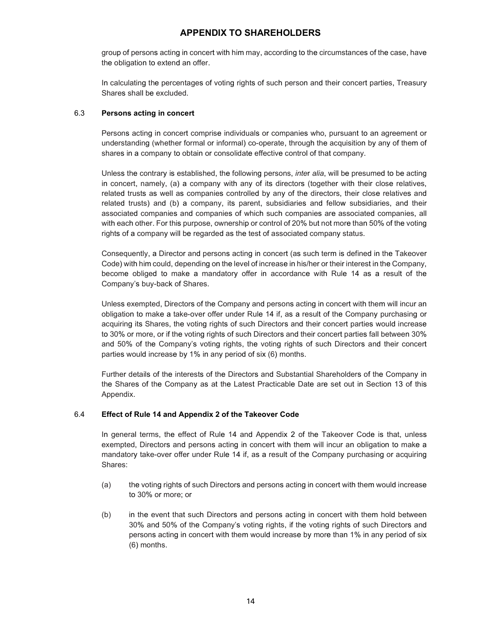group of persons acting in concert with him may, according to the circumstances of the case, have the obligation to extend an offer.

In calculating the percentages of voting rights of such person and their concert parties, Treasury Shares shall be excluded.

#### 6.3 Persons acting in concert

Persons acting in concert comprise individuals or companies who, pursuant to an agreement or understanding (whether formal or informal) co-operate, through the acquisition by any of them of shares in a company to obtain or consolidate effective control of that company.

Unless the contrary is established, the following persons, inter alia, will be presumed to be acting in concert, namely, (a) a company with any of its directors (together with their close relatives, related trusts as well as companies controlled by any of the directors, their close relatives and related trusts) and (b) a company, its parent, subsidiaries and fellow subsidiaries, and their associated companies and companies of which such companies are associated companies, all with each other. For this purpose, ownership or control of 20% but not more than 50% of the voting rights of a company will be regarded as the test of associated company status.

Consequently, a Director and persons acting in concert (as such term is defined in the Takeover Code) with him could, depending on the level of increase in his/her or their interest in the Company, become obliged to make a mandatory offer in accordance with Rule 14 as a result of the Company's buy-back of Shares.

Unless exempted, Directors of the Company and persons acting in concert with them will incur an obligation to make a take-over offer under Rule 14 if, as a result of the Company purchasing or acquiring its Shares, the voting rights of such Directors and their concert parties would increase to 30% or more, or if the voting rights of such Directors and their concert parties fall between 30% and 50% of the Company's voting rights, the voting rights of such Directors and their concert parties would increase by 1% in any period of six (6) months.

Further details of the interests of the Directors and Substantial Shareholders of the Company in the Shares of the Company as at the Latest Practicable Date are set out in Section 13 of this Appendix.

#### 6.4 Effect of Rule 14 and Appendix 2 of the Takeover Code

In general terms, the effect of Rule 14 and Appendix 2 of the Takeover Code is that, unless exempted, Directors and persons acting in concert with them will incur an obligation to make a mandatory take-over offer under Rule 14 if, as a result of the Company purchasing or acquiring Shares:

- (a) the voting rights of such Directors and persons acting in concert with them would increase to 30% or more; or
- (b) in the event that such Directors and persons acting in concert with them hold between 30% and 50% of the Company's voting rights, if the voting rights of such Directors and persons acting in concert with them would increase by more than 1% in any period of six (6) months.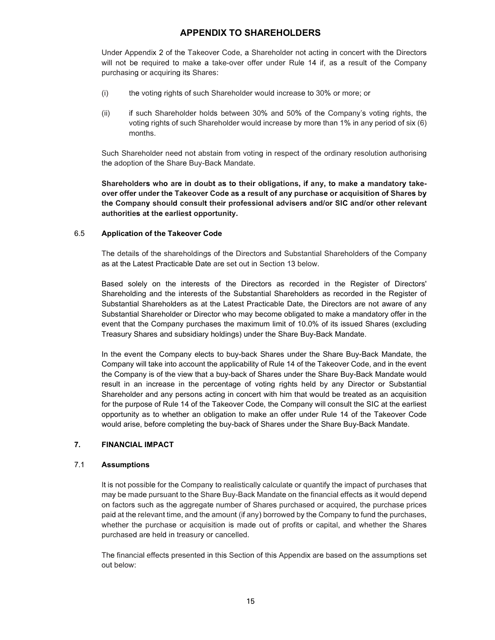Under Appendix 2 of the Takeover Code, a Shareholder not acting in concert with the Directors will not be required to make a take-over offer under Rule 14 if, as a result of the Company purchasing or acquiring its Shares:

- (i) the voting rights of such Shareholder would increase to 30% or more; or
- (ii) if such Shareholder holds between 30% and 50% of the Company's voting rights, the voting rights of such Shareholder would increase by more than 1% in any period of six (6) months.

Such Shareholder need not abstain from voting in respect of the ordinary resolution authorising the adoption of the Share Buy-Back Mandate.

Shareholders who are in doubt as to their obligations, if any, to make a mandatory takeover offer under the Takeover Code as a result of any purchase or acquisition of Shares by the Company should consult their professional advisers and/or SIC and/or other relevant authorities at the earliest opportunity.

#### 6.5 Application of the Takeover Code

The details of the shareholdings of the Directors and Substantial Shareholders of the Company as at the Latest Practicable Date are set out in Section 13 below.

 Based solely on the interests of the Directors as recorded in the Register of Directors' Shareholding and the interests of the Substantial Shareholders as recorded in the Register of Substantial Shareholders as at the Latest Practicable Date, the Directors are not aware of any Substantial Shareholder or Director who may become obligated to make a mandatory offer in the event that the Company purchases the maximum limit of 10.0% of its issued Shares (excluding Treasury Shares and subsidiary holdings) under the Share Buy-Back Mandate.

In the event the Company elects to buy-back Shares under the Share Buy-Back Mandate, the Company will take into account the applicability of Rule 14 of the Takeover Code, and in the event the Company is of the view that a buy-back of Shares under the Share Buy-Back Mandate would result in an increase in the percentage of voting rights held by any Director or Substantial Shareholder and any persons acting in concert with him that would be treated as an acquisition for the purpose of Rule 14 of the Takeover Code, the Company will consult the SIC at the earliest opportunity as to whether an obligation to make an offer under Rule 14 of the Takeover Code would arise, before completing the buy-back of Shares under the Share Buy-Back Mandate.

## 7. FINANCIAL IMPACT

#### 7.1 Assumptions

It is not possible for the Company to realistically calculate or quantify the impact of purchases that may be made pursuant to the Share Buy-Back Mandate on the financial effects as it would depend on factors such as the aggregate number of Shares purchased or acquired, the purchase prices paid at the relevant time, and the amount (if any) borrowed by the Company to fund the purchases, whether the purchase or acquisition is made out of profits or capital, and whether the Shares purchased are held in treasury or cancelled.

The financial effects presented in this Section of this Appendix are based on the assumptions set out below: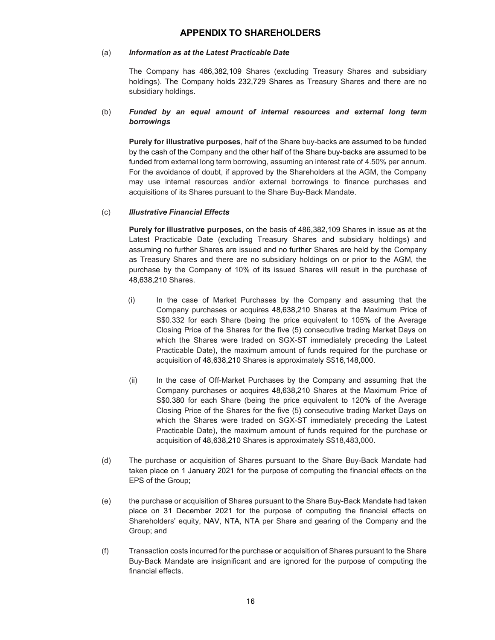#### (a) Information as at the Latest Practicable Date

The Company has 486,382,109 Shares (excluding Treasury Shares and subsidiary holdings). The Company holds 232,729 Shares as Treasury Shares and there are no subsidiary holdings.

#### (b) Funded by an equal amount of internal resources and external long term borrowings

Purely for illustrative purposes, half of the Share buy-backs are assumed to be funded by the cash of the Company and the other half of the Share buy-backs are assumed to be funded from external long term borrowing, assuming an interest rate of 4.50% per annum. For the avoidance of doubt, if approved by the Shareholders at the AGM, the Company may use internal resources and/or external borrowings to finance purchases and acquisitions of its Shares pursuant to the Share Buy-Back Mandate.

## (c) Illustrative Financial Effects

Purely for illustrative purposes, on the basis of 486,382,109 Shares in issue as at the Latest Practicable Date (excluding Treasury Shares and subsidiary holdings) and assuming no further Shares are issued and no further Shares are held by the Company as Treasury Shares and there are no subsidiary holdings on or prior to the AGM, the purchase by the Company of 10% of its issued Shares will result in the purchase of 48,638,210 Shares.

- (i) In the case of Market Purchases by the Company and assuming that the Company purchases or acquires 48,638,210 Shares at the Maximum Price of S\$0.332 for each Share (being the price equivalent to 105% of the Average Closing Price of the Shares for the five (5) consecutive trading Market Days on which the Shares were traded on SGX-ST immediately preceding the Latest Practicable Date), the maximum amount of funds required for the purchase or acquisition of 48,638,210 Shares is approximately S\$16,148,000.
- (ii) In the case of Off-Market Purchases by the Company and assuming that the Company purchases or acquires 48,638,210 Shares at the Maximum Price of S\$0.380 for each Share (being the price equivalent to 120% of the Average Closing Price of the Shares for the five (5) consecutive trading Market Days on which the Shares were traded on SGX-ST immediately preceding the Latest Practicable Date), the maximum amount of funds required for the purchase or acquisition of 48,638,210 Shares is approximately S\$18,483,000.
- (d) The purchase or acquisition of Shares pursuant to the Share Buy-Back Mandate had taken place on 1 January 2021 for the purpose of computing the financial effects on the EPS of the Group;
- (e) the purchase or acquisition of Shares pursuant to the Share Buy-Back Mandate had taken place on 31 December 2021 for the purpose of computing the financial effects on Shareholders' equity, NAV, NTA, NTA per Share and gearing of the Company and the Group; and
- (f) Transaction costs incurred for the purchase or acquisition of Shares pursuant to the Share Buy-Back Mandate are insignificant and are ignored for the purpose of computing the financial effects.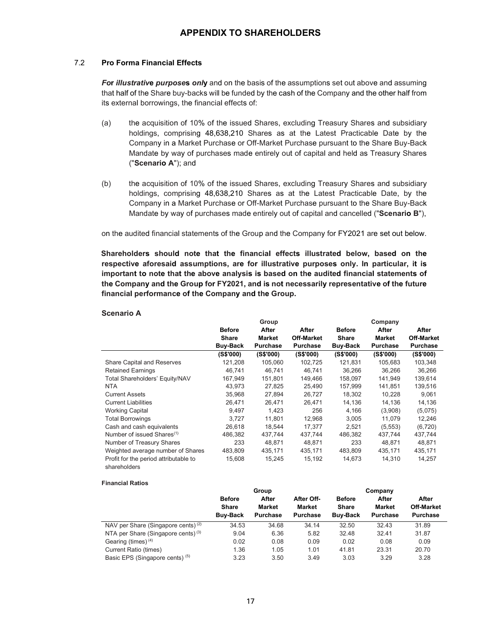#### 7.2 Pro Forma Financial Effects

For illustrative purposes only and on the basis of the assumptions set out above and assuming that half of the Share buy-backs will be funded by the cash of the Company and the other half from its external borrowings, the financial effects of:

- (a) the acquisition of 10% of the issued Shares, excluding Treasury Shares and subsidiary holdings, comprising 48,638,210 Shares as at the Latest Practicable Date by the Company in a Market Purchase or Off-Market Purchase pursuant to the Share Buy-Back Mandate by way of purchases made entirely out of capital and held as Treasury Shares ("Scenario A"); and
- (b) the acquisition of 10% of the issued Shares, excluding Treasury Shares and subsidiary holdings, comprising 48,638,210 Shares as at the Latest Practicable Date, by the Company in a Market Purchase or Off-Market Purchase pursuant to the Share Buy-Back Mandate by way of purchases made entirely out of capital and cancelled ("Scenario B"),

on the audited financial statements of the Group and the Company for FY2021 are set out below.

Shareholders should note that the financial effects illustrated below, based on the respective aforesaid assumptions, are for illustrative purposes only. In particular, it is important to note that the above analysis is based on the audited financial statements of the Company and the Group for FY2021, and is not necessarily representative of the future financial performance of the Company and the Group.

#### Scenario A

|                                                       |                 | Group     |                   |               | Company         |                   |
|-------------------------------------------------------|-----------------|-----------|-------------------|---------------|-----------------|-------------------|
|                                                       | <b>Before</b>   | After     | After             | <b>Before</b> | After           | After             |
|                                                       | Share           | Market    | <b>Off-Market</b> | <b>Share</b>  | <b>Market</b>   | <b>Off-Market</b> |
|                                                       | <b>Buy-Back</b> | Purchase  | <b>Purchase</b>   | Buy-Back      | <b>Purchase</b> | <b>Purchase</b>   |
|                                                       | (S\$'000)       | (S\$'000) | (S\$'000)         | (S\$'000)     | (S\$'000)       | (S\$'000)         |
| <b>Share Capital and Reserves</b>                     | 121,208         | 105,060   | 102,725           | 121,831       | 105,683         | 103,348           |
| <b>Retained Earnings</b>                              | 46.741          | 46.741    | 46.741            | 36.266        | 36.266          | 36.266            |
| Total Shareholders' Equity/NAV                        | 167,949         | 151,801   | 149,466           | 158,097       | 141,949         | 139,614           |
| <b>NTA</b>                                            | 43.973          | 27.825    | 25.490            | 157.999       | 141.851         | 139,516           |
| <b>Current Assets</b>                                 | 35,968          | 27,894    | 26,727            | 18,302        | 10,228          | 9,061             |
| <b>Current Liabilities</b>                            | 26.471          | 26.471    | 26.471            | 14.136        | 14.136          | 14,136            |
| <b>Working Capital</b>                                | 9,497           | 1,423     | 256               | 4,166         | (3,908)         | (5,075)           |
| <b>Total Borrowings</b>                               | 3,727           | 11,801    | 12,968            | 3,005         | 11,079          | 12,246            |
| Cash and cash equivalents                             | 26,618          | 18,544    | 17,377            | 2,521         | (5, 553)        | (6,720)           |
| Number of issued Shares <sup>(1)</sup>                | 486,382         | 437,744   | 437,744           | 486,382       | 437,744         | 437,744           |
| Number of Treasury Shares                             | 233             | 48,871    | 48,871            | 233           | 48,871          | 48,871            |
| Weighted average number of Shares                     | 483,809         | 435,171   | 435,171           | 483,809       | 435,171         | 435,171           |
| Profit for the period attributable to<br>shareholders | 15,608          | 15,245    | 15,192            | 14,673        | 14,310          | 14,257            |

#### Financial Ratios

|                                                | Group           |          |                 | Company         |                 |                   |
|------------------------------------------------|-----------------|----------|-----------------|-----------------|-----------------|-------------------|
|                                                | <b>Before</b>   | After    | After Off-      | <b>Before</b>   | After           | After             |
|                                                | Share           | Market   | <b>Market</b>   | Share           | Market          | <b>Off-Market</b> |
|                                                | <b>Buy-Back</b> | Purchase | <b>Purchase</b> | <b>Buy-Back</b> | <b>Purchase</b> | <b>Purchase</b>   |
| NAV per Share (Singapore cents) $(2)$          | 34.53           | 34.68    | 34.14           | 32.50           | 32.43           | 31.89             |
| NTA per Share (Singapore cents) <sup>(3)</sup> | 9.04            | 6.36     | 5.82            | 32.48           | 32.41           | 31.87             |
| Gearing (times) $(4)$                          | 0.02            | 0.08     | 0.09            | 0.02            | 0.08            | 0.09              |
| Current Ratio (times)                          | 1.36            | 1.05     | 1.01            | 41.81           | 23.31           | 20.70             |
| Basic EPS (Singapore cents) <sup>(5)</sup>     | 3.23            | 3.50     | 3.49            | 3.03            | 3.29            | 3.28              |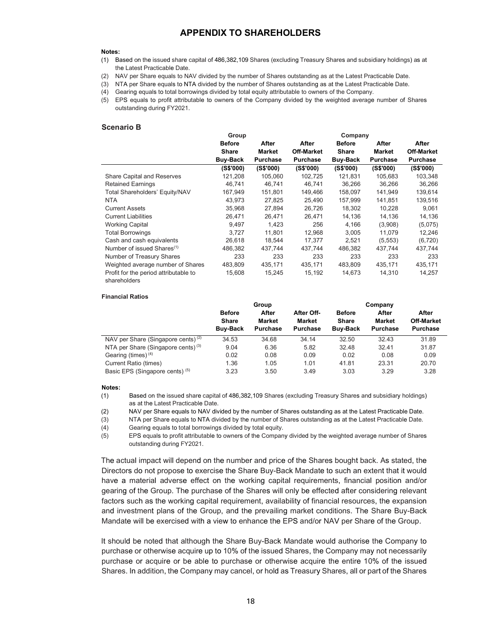#### Notes:

- (1) Based on the issued share capital of 486,382,109 Shares (excluding Treasury Shares and subsidiary holdings) as at the Latest Practicable Date.
- (2) NAV per Share equals to NAV divided by the number of Shares outstanding as at the Latest Practicable Date.
- (3) NTA per Share equals to NTA divided by the number of Shares outstanding as at the Latest Practicable Date.
- (4) Gearing equals to total borrowings divided by total equity attributable to owners of the Company.
- (5) EPS equals to profit attributable to owners of the Company divided by the weighted average number of Shares outstanding during FY2021.

#### Scenario B

|                                                       | Group                  |                 |                   |               |               |                   |
|-------------------------------------------------------|------------------------|-----------------|-------------------|---------------|---------------|-------------------|
|                                                       | <b>Before</b><br>After |                 | After             | <b>Before</b> | After         | After             |
|                                                       | <b>Share</b>           | <b>Market</b>   | <b>Off-Market</b> | Share         | <b>Market</b> | <b>Off-Market</b> |
|                                                       | <b>Buy-Back</b>        | <b>Purchase</b> | <b>Purchase</b>   | Buy-Back      | Purchase      | <b>Purchase</b>   |
|                                                       | (S\$'000)              | (S\$'000)       | (S\$'000)         | (S\$'000)     | (S\$'000)     | (S\$'000)         |
| <b>Share Capital and Reserves</b>                     | 121,208                | 105.060         | 102,725           | 121,831       | 105,683       | 103,348           |
| <b>Retained Earnings</b>                              | 46.741                 | 46.741          | 46.741            | 36.266        | 36,266        | 36,266            |
| Total Shareholders' Equity/NAV                        | 167,949                | 151,801         | 149,466           | 158,097       | 141,949       | 139,614           |
| <b>NTA</b>                                            | 43,973                 | 27,825          | 25,490            | 157,999       | 141,851       | 139,516           |
| <b>Current Assets</b>                                 | 35,968                 | 27,894          | 26,726            | 18,302        | 10,228        | 9,061             |
| <b>Current Liabilities</b>                            | 26,471                 | 26,471          | 26,471            | 14,136        | 14,136        | 14,136            |
| <b>Working Capital</b>                                | 9,497                  | 1,423           | 256               | 4,166         | (3,908)       | (5,075)           |
| <b>Total Borrowings</b>                               | 3,727                  | 11,801          | 12,968            | 3,005         | 11,079        | 12,246            |
| Cash and cash equivalents                             | 26.618                 | 18.544          | 17.377            | 2.521         | (5, 553)      | (6, 720)          |
| Number of issued Shares <sup>(1)</sup>                | 486,382                | 437,744         | 437,744           | 486,382       | 437,744       | 437,744           |
| Number of Treasury Shares                             | 233                    | 233             | 233               | 233           | 233           | 233               |
| Weighted average number of Shares                     | 483,809                | 435,171         | 435,171           | 483,809       | 435,171       | 435,171           |
| Profit for the period attributable to<br>shareholders | 15,608                 | 15,245          | 15,192            | 14,673        | 14,310        | 14,257            |

#### Financial Ratios

|                                                | Group                                     |                                           |                                         | Company                                   |                                           |                                               |
|------------------------------------------------|-------------------------------------------|-------------------------------------------|-----------------------------------------|-------------------------------------------|-------------------------------------------|-----------------------------------------------|
|                                                | <b>Before</b><br>Share<br><b>Buy-Back</b> | After<br><b>Market</b><br><b>Purchase</b> | After Off-<br>Market<br><b>Purchase</b> | <b>Before</b><br>Share<br><b>Buy-Back</b> | After<br><b>Market</b><br><b>Purchase</b> | After<br><b>Off-Market</b><br><b>Purchase</b> |
| NAV per Share (Singapore cents) $(2)$          | 34.53                                     | 34.68                                     | 34.14                                   | 32.50                                     | 32.43                                     | 31.89                                         |
| NTA per Share (Singapore cents) <sup>(3)</sup> | 9.04                                      | 6.36                                      | 5.82                                    | 32.48                                     | 32.41                                     | 31.87                                         |
| Gearing (times) $(4)$                          | 0.02                                      | 0.08                                      | 0.09                                    | 0.02                                      | 0.08                                      | 0.09                                          |
| Current Ratio (times)                          | 1.36                                      | 1.05                                      | 1.01                                    | 41.81                                     | 23.31                                     | 20.70                                         |
| Basic EPS (Singapore cents) <sup>(5)</sup>     | 3.23                                      | 3.50                                      | 3.49                                    | 3.03                                      | 3.29                                      | 3.28                                          |

#### Notes:

(1) Based on the issued share capital of 486,382,109 Shares (excluding Treasury Shares and subsidiary holdings) as at the Latest Practicable Date.

(2) NAV per Share equals to NAV divided by the number of Shares outstanding as at the Latest Practicable Date.

(3) NTA per Share equals to NTA divided by the number of Shares outstanding as at the Latest Practicable Date.

(4) Gearing equals to total borrowings divided by total equity.

(5) EPS equals to profit attributable to owners of the Company divided by the weighted average number of Shares outstanding during FY2021.

The actual impact will depend on the number and price of the Shares bought back. As stated, the Directors do not propose to exercise the Share Buy-Back Mandate to such an extent that it would have a material adverse effect on the working capital requirements, financial position and/or gearing of the Group. The purchase of the Shares will only be effected after considering relevant factors such as the working capital requirement, availability of financial resources, the expansion and investment plans of the Group, and the prevailing market conditions. The Share Buy-Back Mandate will be exercised with a view to enhance the EPS and/or NAV per Share of the Group.

It should be noted that although the Share Buy-Back Mandate would authorise the Company to purchase or otherwise acquire up to 10% of the issued Shares, the Company may not necessarily purchase or acquire or be able to purchase or otherwise acquire the entire 10% of the issued Shares. In addition, the Company may cancel, or hold as Treasury Shares, all or part of the Shares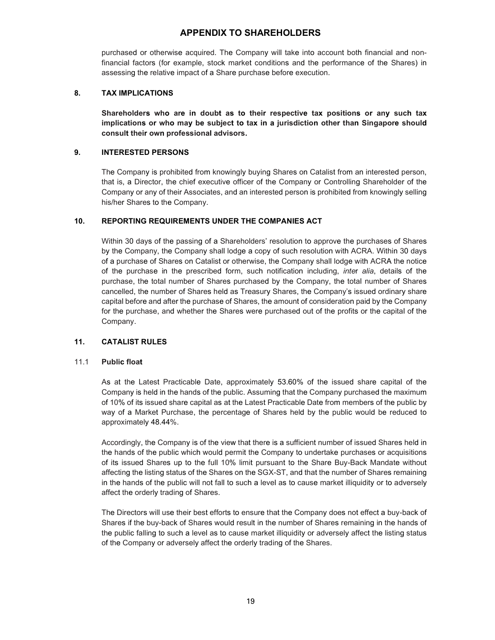purchased or otherwise acquired. The Company will take into account both financial and nonfinancial factors (for example, stock market conditions and the performance of the Shares) in assessing the relative impact of a Share purchase before execution.

## 8. TAX IMPLICATIONS

Shareholders who are in doubt as to their respective tax positions or any such tax implications or who may be subject to tax in a jurisdiction other than Singapore should consult their own professional advisors.

## 9. INTERESTED PERSONS

The Company is prohibited from knowingly buying Shares on Catalist from an interested person, that is, a Director, the chief executive officer of the Company or Controlling Shareholder of the Company or any of their Associates, and an interested person is prohibited from knowingly selling his/her Shares to the Company.

## 10. REPORTING REQUIREMENTS UNDER THE COMPANIES ACT

Within 30 days of the passing of a Shareholders' resolution to approve the purchases of Shares by the Company, the Company shall lodge a copy of such resolution with ACRA. Within 30 days of a purchase of Shares on Catalist or otherwise, the Company shall lodge with ACRA the notice of the purchase in the prescribed form, such notification including, inter alia, details of the purchase, the total number of Shares purchased by the Company, the total number of Shares cancelled, the number of Shares held as Treasury Shares, the Company's issued ordinary share capital before and after the purchase of Shares, the amount of consideration paid by the Company for the purchase, and whether the Shares were purchased out of the profits or the capital of the Company.

## 11. CATALIST RULES

#### 11.1 Public float

As at the Latest Practicable Date, approximately 53.60% of the issued share capital of the Company is held in the hands of the public. Assuming that the Company purchased the maximum of 10% of its issued share capital as at the Latest Practicable Date from members of the public by way of a Market Purchase, the percentage of Shares held by the public would be reduced to approximately 48.44%.

Accordingly, the Company is of the view that there is a sufficient number of issued Shares held in the hands of the public which would permit the Company to undertake purchases or acquisitions of its issued Shares up to the full 10% limit pursuant to the Share Buy-Back Mandate without affecting the listing status of the Shares on the SGX-ST, and that the number of Shares remaining in the hands of the public will not fall to such a level as to cause market illiquidity or to adversely affect the orderly trading of Shares.

The Directors will use their best efforts to ensure that the Company does not effect a buy-back of Shares if the buy-back of Shares would result in the number of Shares remaining in the hands of the public falling to such a level as to cause market illiquidity or adversely affect the listing status of the Company or adversely affect the orderly trading of the Shares.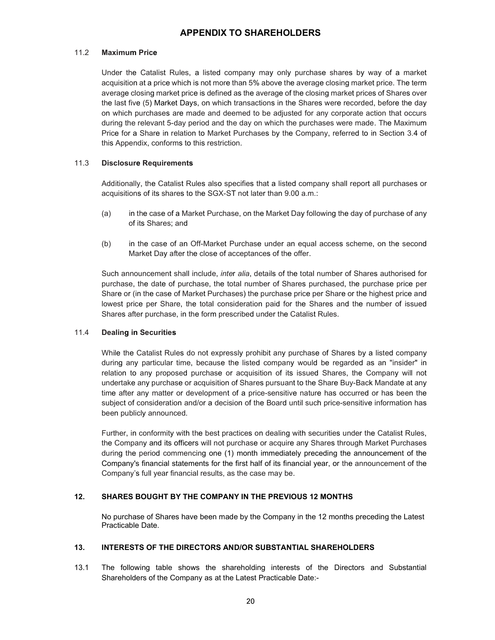#### 11.2 Maximum Price

Under the Catalist Rules, a listed company may only purchase shares by way of a market acquisition at a price which is not more than 5% above the average closing market price. The term average closing market price is defined as the average of the closing market prices of Shares over the last five (5) Market Days, on which transactions in the Shares were recorded, before the day on which purchases are made and deemed to be adjusted for any corporate action that occurs during the relevant 5-day period and the day on which the purchases were made. The Maximum Price for a Share in relation to Market Purchases by the Company, referred to in Section 3.4 of this Appendix, conforms to this restriction.

#### 11.3 Disclosure Requirements

Additionally, the Catalist Rules also specifies that a listed company shall report all purchases or acquisitions of its shares to the SGX-ST not later than 9.00 a.m.:

- (a) in the case of a Market Purchase, on the Market Day following the day of purchase of any of its Shares; and
- (b) in the case of an Off-Market Purchase under an equal access scheme, on the second Market Day after the close of acceptances of the offer.

Such announcement shall include, inter alia, details of the total number of Shares authorised for purchase, the date of purchase, the total number of Shares purchased, the purchase price per Share or (in the case of Market Purchases) the purchase price per Share or the highest price and lowest price per Share, the total consideration paid for the Shares and the number of issued Shares after purchase, in the form prescribed under the Catalist Rules.

#### 11.4 Dealing in Securities

While the Catalist Rules do not expressly prohibit any purchase of Shares by a listed company during any particular time, because the listed company would be regarded as an "insider" in relation to any proposed purchase or acquisition of its issued Shares, the Company will not undertake any purchase or acquisition of Shares pursuant to the Share Buy-Back Mandate at any time after any matter or development of a price-sensitive nature has occurred or has been the subject of consideration and/or a decision of the Board until such price-sensitive information has been publicly announced.

Further, in conformity with the best practices on dealing with securities under the Catalist Rules, the Company and its officers will not purchase or acquire any Shares through Market Purchases during the period commencing one (1) month immediately preceding the announcement of the Company's financial statements for the first half of its financial year, or the announcement of the Company's full year financial results, as the case may be.

#### 12. SHARES BOUGHT BY THE COMPANY IN THE PREVIOUS 12 MONTHS

 No purchase of Shares have been made by the Company in the 12 months preceding the Latest Practicable Date.

#### 13. INTERESTS OF THE DIRECTORS AND/OR SUBSTANTIAL SHAREHOLDERS

13.1 The following table shows the shareholding interests of the Directors and Substantial Shareholders of the Company as at the Latest Practicable Date:-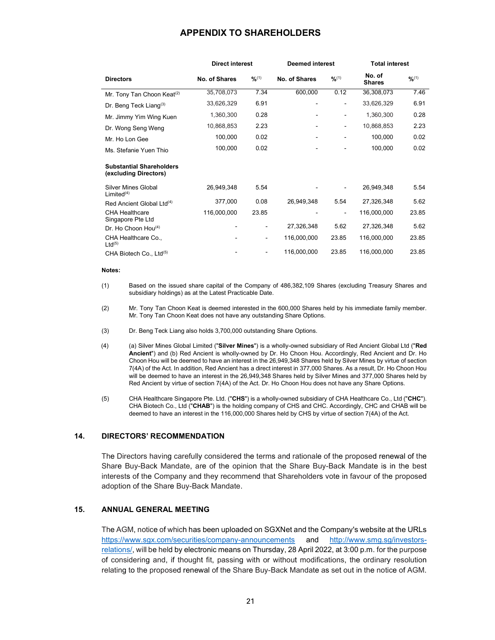|                                                          | <b>Direct interest</b> |                              | <b>Deemed interest</b> |        | <b>Total interest</b>   |        |
|----------------------------------------------------------|------------------------|------------------------------|------------------------|--------|-------------------------|--------|
| <b>Directors</b>                                         | No. of Shares          | 9/6(1)                       | No. of Shares          | 9/6(1) | No. of<br><b>Shares</b> | 9/6(1) |
| Mr. Tony Tan Choon Keat <sup>(2)</sup>                   | 35,708,073             | 7.34                         | 600,000                | 0.12   | 36,308,073              | 7.46   |
| Dr. Beng Teck Liang <sup>(3)</sup>                       | 33,626,329             | 6.91                         | -                      | -      | 33,626,329              | 6.91   |
| Mr. Jimmy Yim Wing Kuen                                  | 1,360,300              | 0.28                         |                        | ۰      | 1,360,300               | 0.28   |
| Dr. Wong Seng Weng                                       | 10,868,853             | 2.23                         |                        | -      | 10,868,853              | 2.23   |
| Mr. Ho Lon Gee                                           | 100,000                | 0.02                         |                        |        | 100,000                 | 0.02   |
| Ms. Stefanie Yuen Thio                                   | 100,000                | 0.02                         |                        |        | 100,000                 | 0.02   |
| <b>Substantial Shareholders</b><br>(excluding Directors) |                        |                              |                        |        |                         |        |
| Silver Mines Global<br>Limited <sup>(4)</sup>            | 26,949,348             | 5.54                         |                        |        | 26,949,348              | 5.54   |
| Red Ancient Global Ltd <sup>(4)</sup>                    | 377,000                | 0.08                         | 26,949,348             | 5.54   | 27,326,348              | 5.62   |
| <b>CHA Healthcare</b><br>Singapore Pte Ltd               | 116,000,000            | 23.85                        |                        |        | 116,000,000             | 23.85  |
| Dr. Ho Choon Hou <sup>(4)</sup>                          |                        | $\qquad \qquad \blacksquare$ | 27,326,348             | 5.62   | 27,326,348              | 5.62   |
| CHA Healthcare Co.,<br>$Ltd^{(5)}$                       |                        | $\qquad \qquad \blacksquare$ | 116,000,000            | 23.85  | 116,000,000             | 23.85  |
| CHA Biotech Co., Ltd <sup>(5)</sup>                      |                        |                              | 116,000,000            | 23.85  | 116,000,000             | 23.85  |

#### Notes:

- (1) Based on the issued share capital of the Company of 486,382,109 Shares (excluding Treasury Shares and subsidiary holdings) as at the Latest Practicable Date.
- (2) Mr. Tony Tan Choon Keat is deemed interested in the 600,000 Shares held by his immediate family member. Mr. Tony Tan Choon Keat does not have any outstanding Share Options.
- (3) Dr. Beng Teck Liang also holds 3,700,000 outstanding Share Options.
- (4) (a) Silver Mines Global Limited ("Silver Mines") is a wholly-owned subsidiary of Red Ancient Global Ltd ("Red Ancient") and (b) Red Ancient is wholly-owned by Dr. Ho Choon Hou. Accordingly, Red Ancient and Dr. Ho Choon Hou will be deemed to have an interest in the 26,949,348 Shares held by Silver Mines by virtue of section 7(4A) of the Act. In addition, Red Ancient has a direct interest in 377,000 Shares. As a result, Dr. Ho Choon Hou will be deemed to have an interest in the 26,949,348 Shares held by Silver Mines and 377,000 Shares held by Red Ancient by virtue of section 7(4A) of the Act. Dr. Ho Choon Hou does not have any Share Options.
- (5) CHA Healthcare Singapore Pte. Ltd. ("CHS") is a wholly-owned subsidiary of CHA Healthcare Co., Ltd ("CHC"). CHA Biotech Co., Ltd ("CHAB") is the holding company of CHS and CHC. Accordingly, CHC and CHAB will be deemed to have an interest in the 116,000,000 Shares held by CHS by virtue of section 7(4A) of the Act.

#### 14. DIRECTORS' RECOMMENDATION

The Directors having carefully considered the terms and rationale of the proposed renewal of the Share Buy-Back Mandate, are of the opinion that the Share Buy-Back Mandate is in the best interests of the Company and they recommend that Shareholders vote in favour of the proposed adoption of the Share Buy-Back Mandate.

#### 15. ANNUAL GENERAL MEETING

The AGM, notice of which has been uploaded on SGXNet and the Company's website at the URLs https://www.sgx.com/securities/company-announcements and http://www.smg.sg/investorsrelations/, will be held by electronic means on Thursday, 28 April 2022, at 3:00 p.m. for the purpose of considering and, if thought fit, passing with or without modifications, the ordinary resolution relating to the proposed renewal of the Share Buy-Back Mandate as set out in the notice of AGM.